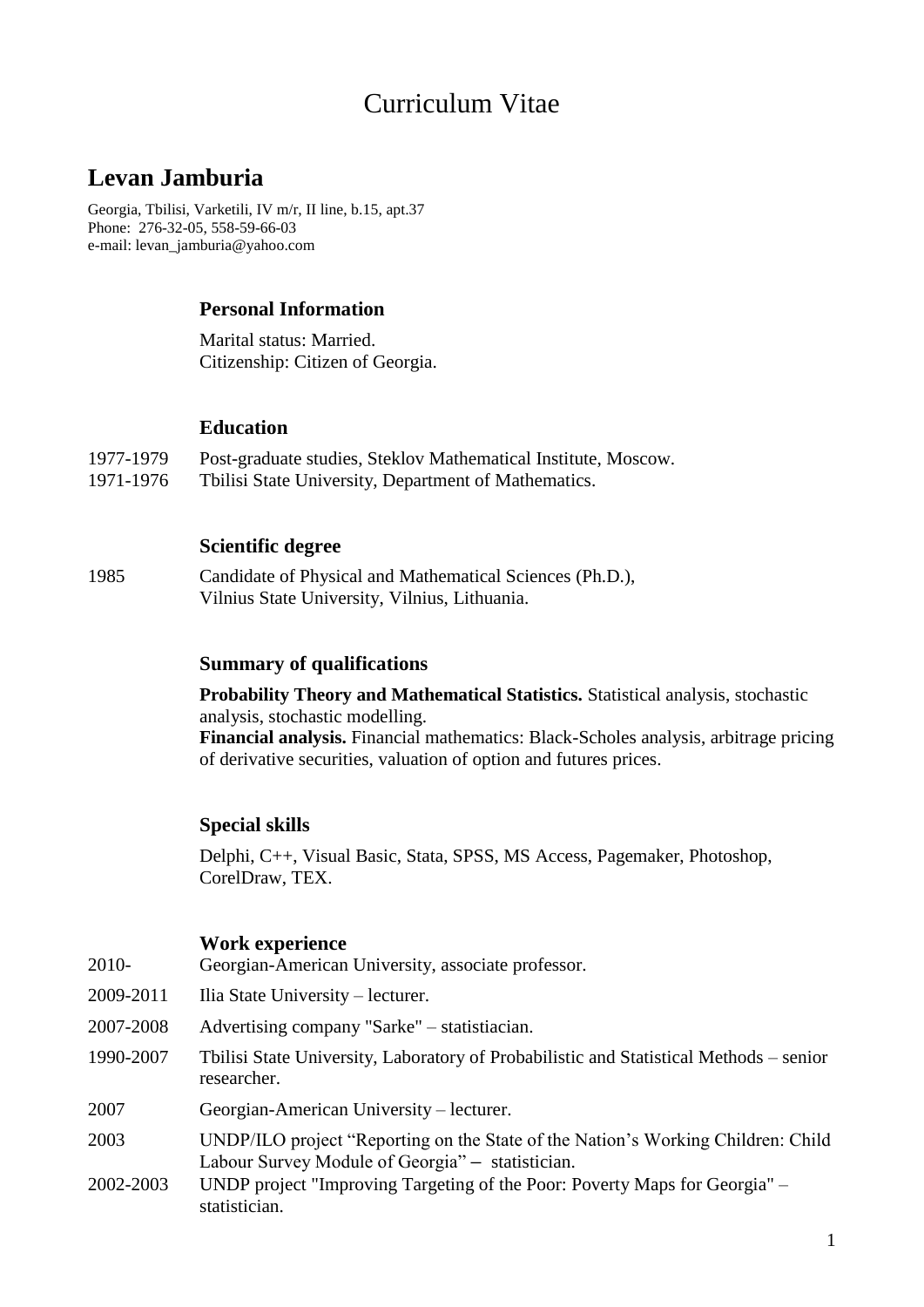# Curriculum Vitae

## **Levan Jamburia**

Georgia, Tbilisi, Varketili, IV m/r, II line, b.15, apt.37 Phone: 276-32-05, 558-59-66-03 e-mail: levan\_jamburia@yahoo.com

#### **Personal Information**

Marital status: Married. Citizenship: Citizen of Georgia.

#### **Education**

- 1977-1979 Post-graduate studies, Steklov Mathematical Institute, Moscow.
- 1971-1976 Tbilisi State University, Department of Mathematics.

#### **Scientific degree**

1985 Candidate of Physical and Mathematical Sciences (Ph.D.), Vilnius State University, Vilnius, Lithuania.

#### **Summary of qualifications**

**Probability Theory and Mathematical Statistics.** Statistical analysis, stochastic analysis, stochastic modelling. **Financial analysis.** Financial mathematics: Black-Scholes analysis, arbitrage pricing of derivative securities, valuation of option and futures prices.

#### **Special skills**

Delphi, C++, Visual Basic, Stata, SPSS, MS Access, Pagemaker, Photoshop, CorelDraw, TEX.

#### **Work experience**

- 2010- Georgian-American University, associate professor.
- 2009-2011 Ilia State University lecturer.
- 2007-2008 Advertising company "Sarke" statistiacian.
- 1990-2007 Tbilisi State University, Laboratory of Probabilistic and Statistical Methods senior researcher.
- 2007 Georgian-American University lecturer.
- 2003 UNDP/ILO project "Reporting on the State of the Nation's Working Children: Child Labour Survey Module of Georgia" - statistician.
- 2002-2003 UNDP project "Improving Targeting of the Poor: Poverty Maps for Georgia" statistician.